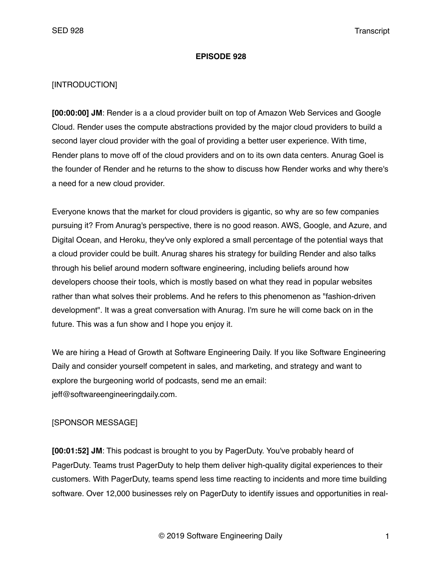#### **EPISODE 928**

### [INTRODUCTION]

**[00:00:00] JM**: Render is a a cloud provider built on top of Amazon Web Services and Google Cloud. Render uses the compute abstractions provided by the major cloud providers to build a second layer cloud provider with the goal of providing a better user experience. With time, Render plans to move off of the cloud providers and on to its own data centers. Anurag Goel is the founder of Render and he returns to the show to discuss how Render works and why there's a need for a new cloud provider.

Everyone knows that the market for cloud providers is gigantic, so why are so few companies pursuing it? From Anurag's perspective, there is no good reason. AWS, Google, and Azure, and Digital Ocean, and Heroku, they've only explored a small percentage of the potential ways that a cloud provider could be built. Anurag shares his strategy for building Render and also talks through his belief around modern software engineering, including beliefs around how developers choose their tools, which is mostly based on what they read in popular websites rather than what solves their problems. And he refers to this phenomenon as "fashion-driven development". It was a great conversation with Anurag. I'm sure he will come back on in the future. This was a fun show and I hope you enjoy it.

We are hiring a Head of Growth at Software Engineering Daily. If you like Software Engineering Daily and consider yourself competent in sales, and marketing, and strategy and want to explore the burgeoning world of podcasts, send me an email: jeff@softwareengineeringdaily.com.

## [SPONSOR MESSAGE]

**[00:01:52] JM**: This podcast is brought to you by PagerDuty. You've probably heard of PagerDuty. Teams trust PagerDuty to help them deliver high-quality digital experiences to their customers. With PagerDuty, teams spend less time reacting to incidents and more time building software. Over 12,000 businesses rely on PagerDuty to identify issues and opportunities in real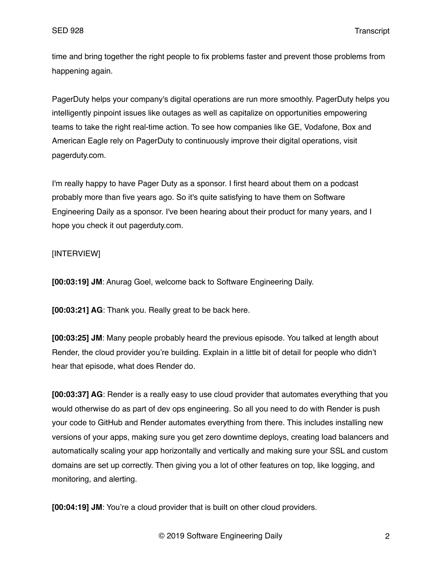time and bring together the right people to fix problems faster and prevent those problems from happening again.

PagerDuty helps your company's digital operations are run more smoothly. PagerDuty helps you intelligently pinpoint issues like outages as well as capitalize on opportunities empowering teams to take the right real-time action. To see how companies like GE, Vodafone, Box and American Eagle rely on PagerDuty to continuously improve their digital operations, visit pagerduty.com.

I'm really happy to have Pager Duty as a sponsor. I first heard about them on a podcast probably more than five years ago. So it's quite satisfying to have them on Software Engineering Daily as a sponsor. I've been hearing about their product for many years, and I hope you check it out pagerduty.com.

# [INTERVIEW]

**[00:03:19] JM**: Anurag Goel, welcome back to Software Engineering Daily.

**[00:03:21] AG**: Thank you. Really great to be back here.

**[00:03:25] JM**: Many people probably heard the previous episode. You talked at length about Render, the cloud provider you're building. Explain in a little bit of detail for people who didn't hear that episode, what does Render do.

**[00:03:37] AG**: Render is a really easy to use cloud provider that automates everything that you would otherwise do as part of dev ops engineering. So all you need to do with Render is push your code to GitHub and Render automates everything from there. This includes installing new versions of your apps, making sure you get zero downtime deploys, creating load balancers and automatically scaling your app horizontally and vertically and making sure your SSL and custom domains are set up correctly. Then giving you a lot of other features on top, like logging, and monitoring, and alerting.

**[00:04:19] JM**: You're a cloud provider that is built on other cloud providers.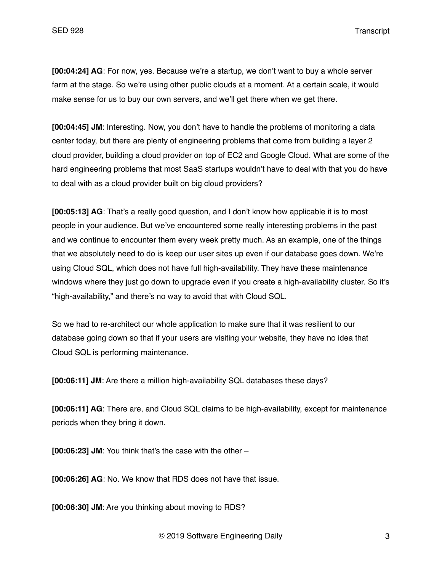**[00:04:24] AG**: For now, yes. Because we're a startup, we don't want to buy a whole server farm at the stage. So we're using other public clouds at a moment. At a certain scale, it would make sense for us to buy our own servers, and we'll get there when we get there.

**[00:04:45] JM**: Interesting. Now, you don't have to handle the problems of monitoring a data center today, but there are plenty of engineering problems that come from building a layer 2 cloud provider, building a cloud provider on top of EC2 and Google Cloud. What are some of the hard engineering problems that most SaaS startups wouldn't have to deal with that you do have to deal with as a cloud provider built on big cloud providers?

**[00:05:13] AG**: That's a really good question, and I don't know how applicable it is to most people in your audience. But we've encountered some really interesting problems in the past and we continue to encounter them every week pretty much. As an example, one of the things that we absolutely need to do is keep our user sites up even if our database goes down. We're using Cloud SQL, which does not have full high-availability. They have these maintenance windows where they just go down to upgrade even if you create a high-availability cluster. So it's "high-availability," and there's no way to avoid that with Cloud SQL.

So we had to re-architect our whole application to make sure that it was resilient to our database going down so that if your users are visiting your website, they have no idea that Cloud SQL is performing maintenance.

**[00:06:11] JM**: Are there a million high-availability SQL databases these days?

**[00:06:11] AG**: There are, and Cloud SQL claims to be high-availability, except for maintenance periods when they bring it down.

**[00:06:23] JM**: You think that's the case with the other –

**[00:06:26] AG**: No. We know that RDS does not have that issue.

**[00:06:30] JM**: Are you thinking about moving to RDS?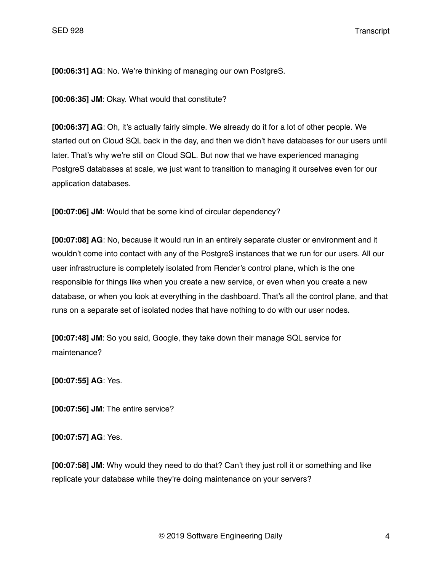**[00:06:31] AG**: No. We're thinking of managing our own PostgreS.

**[00:06:35] JM**: Okay. What would that constitute?

**[00:06:37] AG**: Oh, it's actually fairly simple. We already do it for a lot of other people. We started out on Cloud SQL back in the day, and then we didn't have databases for our users until later. That's why we're still on Cloud SQL. But now that we have experienced managing PostgreS databases at scale, we just want to transition to managing it ourselves even for our application databases.

**[00:07:06] JM**: Would that be some kind of circular dependency?

**[00:07:08] AG**: No, because it would run in an entirely separate cluster or environment and it wouldn't come into contact with any of the PostgreS instances that we run for our users. All our user infrastructure is completely isolated from Render's control plane, which is the one responsible for things like when you create a new service, or even when you create a new database, or when you look at everything in the dashboard. That's all the control plane, and that runs on a separate set of isolated nodes that have nothing to do with our user nodes.

**[00:07:48] JM**: So you said, Google, they take down their manage SQL service for maintenance?

**[00:07:55] AG**: Yes.

**[00:07:56] JM**: The entire service?

**[00:07:57] AG**: Yes.

**[00:07:58] JM**: Why would they need to do that? Can't they just roll it or something and like replicate your database while they're doing maintenance on your servers?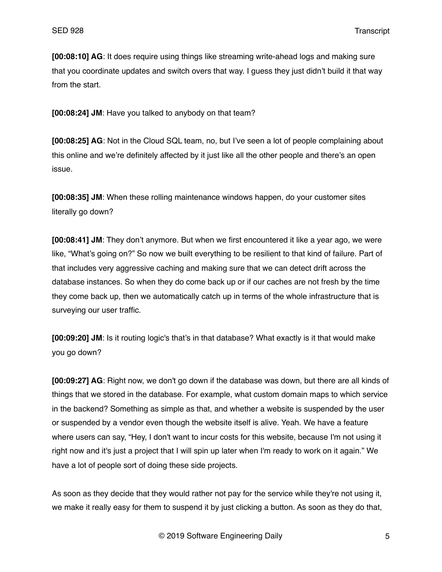**[00:08:10] AG**: It does require using things like streaming write-ahead logs and making sure that you coordinate updates and switch overs that way. I guess they just didn't build it that way from the start.

**[00:08:24] JM**: Have you talked to anybody on that team?

**[00:08:25] AG**: Not in the Cloud SQL team, no, but I've seen a lot of people complaining about this online and we're definitely affected by it just like all the other people and there's an open issue.

**[00:08:35] JM**: When these rolling maintenance windows happen, do your customer sites literally go down?

**[00:08:41] JM**: They don't anymore. But when we first encountered it like a year ago, we were like, "What's going on?" So now we built everything to be resilient to that kind of failure. Part of that includes very aggressive caching and making sure that we can detect drift across the database instances. So when they do come back up or if our caches are not fresh by the time they come back up, then we automatically catch up in terms of the whole infrastructure that is surveying our user traffic.

**[00:09:20] JM**: Is it routing logic's that's in that database? What exactly is it that would make you go down?

**[00:09:27] AG**: Right now, we don't go down if the database was down, but there are all kinds of things that we stored in the database. For example, what custom domain maps to which service in the backend? Something as simple as that, and whether a website is suspended by the user or suspended by a vendor even though the website itself is alive. Yeah. We have a feature where users can say, "Hey, I don't want to incur costs for this website, because I'm not using it right now and it's just a project that I will spin up later when I'm ready to work on it again." We have a lot of people sort of doing these side projects.

As soon as they decide that they would rather not pay for the service while they're not using it, we make it really easy for them to suspend it by just clicking a button. As soon as they do that,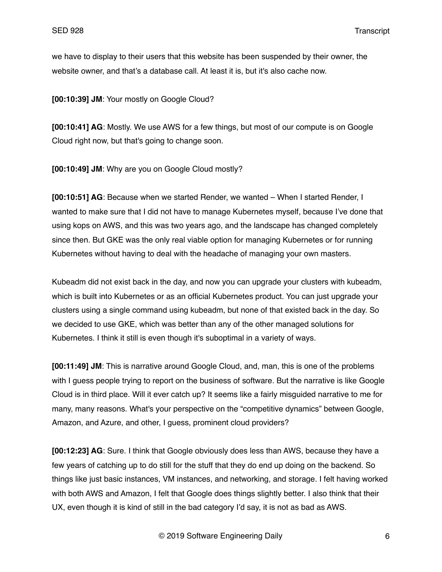we have to display to their users that this website has been suspended by their owner, the website owner, and that's a database call. At least it is, but it's also cache now.

**[00:10:39] JM**: Your mostly on Google Cloud?

**[00:10:41] AG**: Mostly. We use AWS for a few things, but most of our compute is on Google Cloud right now, but that's going to change soon.

**[00:10:49] JM**: Why are you on Google Cloud mostly?

**[00:10:51] AG**: Because when we started Render, we wanted – When I started Render, I wanted to make sure that I did not have to manage Kubernetes myself, because I've done that using kops on AWS, and this was two years ago, and the landscape has changed completely since then. But GKE was the only real viable option for managing Kubernetes or for running Kubernetes without having to deal with the headache of managing your own masters.

Kubeadm did not exist back in the day, and now you can upgrade your clusters with kubeadm, which is built into Kubernetes or as an official Kubernetes product. You can just upgrade your clusters using a single command using kubeadm, but none of that existed back in the day. So we decided to use GKE, which was better than any of the other managed solutions for Kubernetes. I think it still is even though it's suboptimal in a variety of ways.

**[00:11:49] JM**: This is narrative around Google Cloud, and, man, this is one of the problems with I guess people trying to report on the business of software. But the narrative is like Google Cloud is in third place. Will it ever catch up? It seems like a fairly misguided narrative to me for many, many reasons. What's your perspective on the "competitive dynamics" between Google, Amazon, and Azure, and other, I guess, prominent cloud providers?

**[00:12:23] AG**: Sure. I think that Google obviously does less than AWS, because they have a few years of catching up to do still for the stuff that they do end up doing on the backend. So things like just basic instances, VM instances, and networking, and storage. I felt having worked with both AWS and Amazon, I felt that Google does things slightly better. I also think that their UX, even though it is kind of still in the bad category I'd say, it is not as bad as AWS.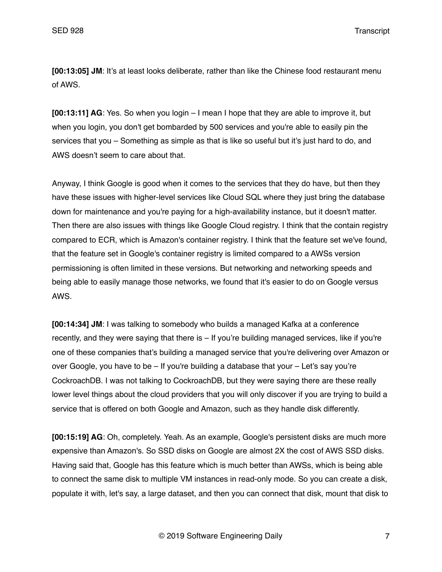**[00:13:05] JM**: It's at least looks deliberate, rather than like the Chinese food restaurant menu of AWS.

**[00:13:11] AG**: Yes. So when you login – I mean I hope that they are able to improve it, but when you login, you don't get bombarded by 500 services and you're able to easily pin the services that you – Something as simple as that is like so useful but it's just hard to do, and AWS doesn't seem to care about that.

Anyway, I think Google is good when it comes to the services that they do have, but then they have these issues with higher-level services like Cloud SQL where they just bring the database down for maintenance and you're paying for a high-availability instance, but it doesn't matter. Then there are also issues with things like Google Cloud registry. I think that the contain registry compared to ECR, which is Amazon's container registry. I think that the feature set we've found, that the feature set in Google's container registry is limited compared to a AWSs version permissioning is often limited in these versions. But networking and networking speeds and being able to easily manage those networks, we found that it's easier to do on Google versus AWS.

**[00:14:34] JM**: I was talking to somebody who builds a managed Kafka at a conference recently, and they were saying that there is – If you're building managed services, like if you're one of these companies that's building a managed service that you're delivering over Amazon or over Google, you have to be – If you're building a database that your – Let's say you're CockroachDB. I was not talking to CockroachDB, but they were saying there are these really lower level things about the cloud providers that you will only discover if you are trying to build a service that is offered on both Google and Amazon, such as they handle disk differently.

**[00:15:19] AG**: Oh, completely. Yeah. As an example, Google's persistent disks are much more expensive than Amazon's. So SSD disks on Google are almost 2X the cost of AWS SSD disks. Having said that, Google has this feature which is much better than AWSs, which is being able to connect the same disk to multiple VM instances in read-only mode. So you can create a disk, populate it with, let's say, a large dataset, and then you can connect that disk, mount that disk to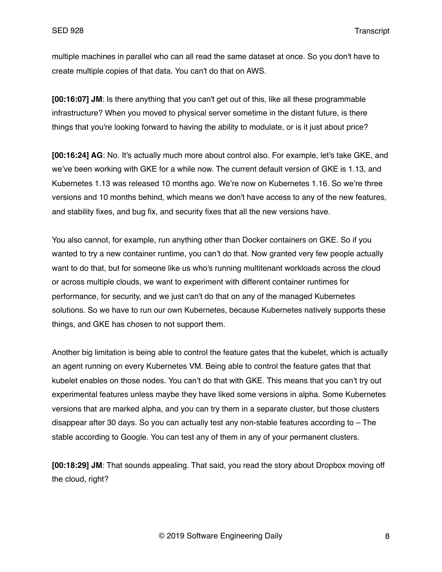multiple machines in parallel who can all read the same dataset at once. So you don't have to create multiple copies of that data. You can't do that on AWS.

**[00:16:07] JM**: Is there anything that you can't get out of this, like all these programmable infrastructure? When you moved to physical server sometime in the distant future, is there things that you're looking forward to having the ability to modulate, or is it just about price?

**[00:16:24] AG**: No. It's actually much more about control also. For example, let's take GKE, and we've been working with GKE for a while now. The current default version of GKE is 1.13, and Kubernetes 1.13 was released 10 months ago. We're now on Kubernetes 1.16. So we're three versions and 10 months behind, which means we don't have access to any of the new features, and stability fixes, and bug fix, and security fixes that all the new versions have.

You also cannot, for example, run anything other than Docker containers on GKE. So if you wanted to try a new container runtime, you can't do that. Now granted very few people actually want to do that, but for someone like us who's running multitenant workloads across the cloud or across multiple clouds, we want to experiment with different container runtimes for performance, for security, and we just can't do that on any of the managed Kubernetes solutions. So we have to run our own Kubernetes, because Kubernetes natively supports these things, and GKE has chosen to not support them.

Another big limitation is being able to control the feature gates that the kubelet, which is actually an agent running on every Kubernetes VM. Being able to control the feature gates that that kubelet enables on those nodes. You can't do that with GKE. This means that you can't try out experimental features unless maybe they have liked some versions in alpha. Some Kubernetes versions that are marked alpha, and you can try them in a separate cluster, but those clusters disappear after 30 days. So you can actually test any non-stable features according to – The stable according to Google. You can test any of them in any of your permanent clusters.

**[00:18:29] JM**: That sounds appealing. That said, you read the story about Dropbox moving off the cloud, right?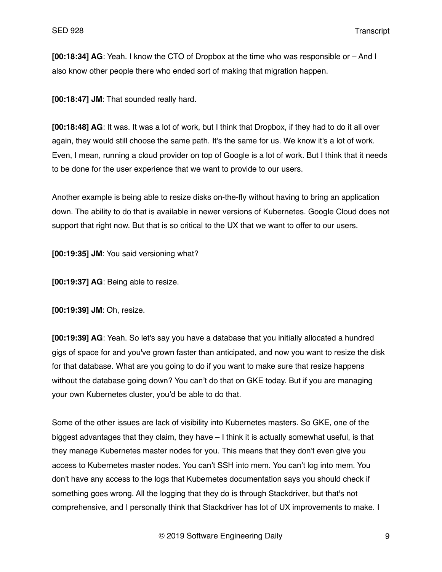**[00:18:34] AG**: Yeah. I know the CTO of Dropbox at the time who was responsible or – And I also know other people there who ended sort of making that migration happen.

**[00:18:47] JM**: That sounded really hard.

**[00:18:48] AG**: It was. It was a lot of work, but I think that Dropbox, if they had to do it all over again, they would still choose the same path. It's the same for us. We know it's a lot of work. Even, I mean, running a cloud provider on top of Google is a lot of work. But I think that it needs to be done for the user experience that we want to provide to our users.

Another example is being able to resize disks on-the-fly without having to bring an application down. The ability to do that is available in newer versions of Kubernetes. Google Cloud does not support that right now. But that is so critical to the UX that we want to offer to our users.

**[00:19:35] JM**: You said versioning what?

**[00:19:37] AG**: Being able to resize.

**[00:19:39] JM**: Oh, resize.

**[00:19:39] AG**: Yeah. So let's say you have a database that you initially allocated a hundred gigs of space for and you've grown faster than anticipated, and now you want to resize the disk for that database. What are you going to do if you want to make sure that resize happens without the database going down? You can't do that on GKE today. But if you are managing your own Kubernetes cluster, you'd be able to do that.

Some of the other issues are lack of visibility into Kubernetes masters. So GKE, one of the biggest advantages that they claim, they have – I think it is actually somewhat useful, is that they manage Kubernetes master nodes for you. This means that they don't even give you access to Kubernetes master nodes. You can't SSH into mem. You can't log into mem. You don't have any access to the logs that Kubernetes documentation says you should check if something goes wrong. All the logging that they do is through Stackdriver, but that's not comprehensive, and I personally think that Stackdriver has lot of UX improvements to make. I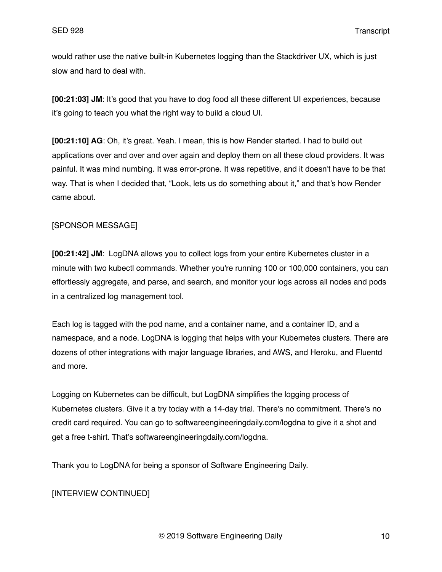would rather use the native built-in Kubernetes logging than the Stackdriver UX, which is just slow and hard to deal with.

**[00:21:03] JM**: It's good that you have to dog food all these different UI experiences, because it's going to teach you what the right way to build a cloud UI.

**[00:21:10] AG**: Oh, it's great. Yeah. I mean, this is how Render started. I had to build out applications over and over and over again and deploy them on all these cloud providers. It was painful. It was mind numbing. It was error-prone. It was repetitive, and it doesn't have to be that way. That is when I decided that, "Look, lets us do something about it," and that's how Render came about.

## [SPONSOR MESSAGE]

**[00:21:42] JM**: LogDNA allows you to collect logs from your entire Kubernetes cluster in a minute with two kubectl commands. Whether you're running 100 or 100,000 containers, you can effortlessly aggregate, and parse, and search, and monitor your logs across all nodes and pods in a centralized log management tool.

Each log is tagged with the pod name, and a container name, and a container ID, and a namespace, and a node. LogDNA is logging that helps with your Kubernetes clusters. There are dozens of other integrations with major language libraries, and AWS, and Heroku, and Fluentd and more.

Logging on Kubernetes can be difficult, but LogDNA simplifies the logging process of Kubernetes clusters. Give it a try today with a 14-day trial. There's no commitment. There's no credit card required. You can go to softwareengineeringdaily.com/logdna to give it a shot and get a free t-shirt. That's softwareengineeringdaily.com/logdna.

Thank you to LogDNA for being a sponsor of Software Engineering Daily.

# [INTERVIEW CONTINUED]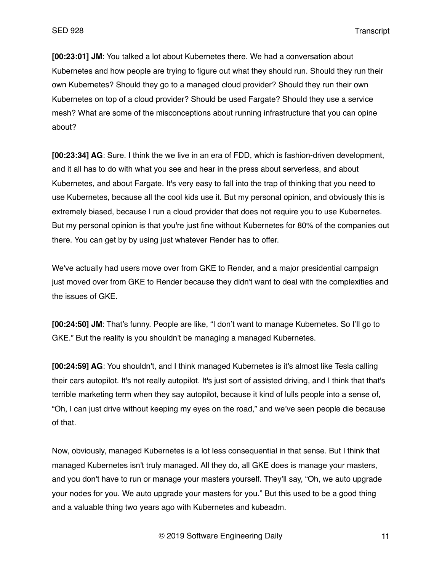**[00:23:01] JM**: You talked a lot about Kubernetes there. We had a conversation about Kubernetes and how people are trying to figure out what they should run. Should they run their own Kubernetes? Should they go to a managed cloud provider? Should they run their own Kubernetes on top of a cloud provider? Should be used Fargate? Should they use a service mesh? What are some of the misconceptions about running infrastructure that you can opine about?

**[00:23:34] AG**: Sure. I think the we live in an era of FDD, which is fashion-driven development, and it all has to do with what you see and hear in the press about serverless, and about Kubernetes, and about Fargate. It's very easy to fall into the trap of thinking that you need to use Kubernetes, because all the cool kids use it. But my personal opinion, and obviously this is extremely biased, because I run a cloud provider that does not require you to use Kubernetes. But my personal opinion is that you're just fine without Kubernetes for 80% of the companies out there. You can get by by using just whatever Render has to offer.

We've actually had users move over from GKE to Render, and a major presidential campaign just moved over from GKE to Render because they didn't want to deal with the complexities and the issues of GKE.

**[00:24:50] JM**: That's funny. People are like, "I don't want to manage Kubernetes. So I'll go to GKE." But the reality is you shouldn't be managing a managed Kubernetes.

**[00:24:59] AG**: You shouldn't, and I think managed Kubernetes is it's almost like Tesla calling their cars autopilot. It's not really autopilot. It's just sort of assisted driving, and I think that that's terrible marketing term when they say autopilot, because it kind of lulls people into a sense of, "Oh, I can just drive without keeping my eyes on the road," and we've seen people die because of that.

Now, obviously, managed Kubernetes is a lot less consequential in that sense. But I think that managed Kubernetes isn't truly managed. All they do, all GKE does is manage your masters, and you don't have to run or manage your masters yourself. They'll say, "Oh, we auto upgrade your nodes for you. We auto upgrade your masters for you." But this used to be a good thing and a valuable thing two years ago with Kubernetes and kubeadm.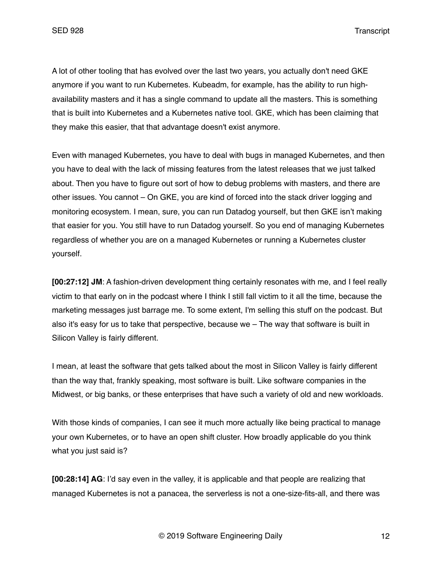A lot of other tooling that has evolved over the last two years, you actually don't need GKE anymore if you want to run Kubernetes. Kubeadm, for example, has the ability to run highavailability masters and it has a single command to update all the masters. This is something that is built into Kubernetes and a Kubernetes native tool. GKE, which has been claiming that they make this easier, that that advantage doesn't exist anymore.

Even with managed Kubernetes, you have to deal with bugs in managed Kubernetes, and then you have to deal with the lack of missing features from the latest releases that we just talked about. Then you have to figure out sort of how to debug problems with masters, and there are other issues. You cannot – On GKE, you are kind of forced into the stack driver logging and monitoring ecosystem. I mean, sure, you can run Datadog yourself, but then GKE isn't making that easier for you. You still have to run Datadog yourself. So you end of managing Kubernetes regardless of whether you are on a managed Kubernetes or running a Kubernetes cluster yourself.

**[00:27:12] JM**: A fashion-driven development thing certainly resonates with me, and I feel really victim to that early on in the podcast where I think I still fall victim to it all the time, because the marketing messages just barrage me. To some extent, I'm selling this stuff on the podcast. But also it's easy for us to take that perspective, because we – The way that software is built in Silicon Valley is fairly different.

I mean, at least the software that gets talked about the most in Silicon Valley is fairly different than the way that, frankly speaking, most software is built. Like software companies in the Midwest, or big banks, or these enterprises that have such a variety of old and new workloads.

With those kinds of companies, I can see it much more actually like being practical to manage your own Kubernetes, or to have an open shift cluster. How broadly applicable do you think what you just said is?

**[00:28:14] AG**: I'd say even in the valley, it is applicable and that people are realizing that managed Kubernetes is not a panacea, the serverless is not a one-size-fits-all, and there was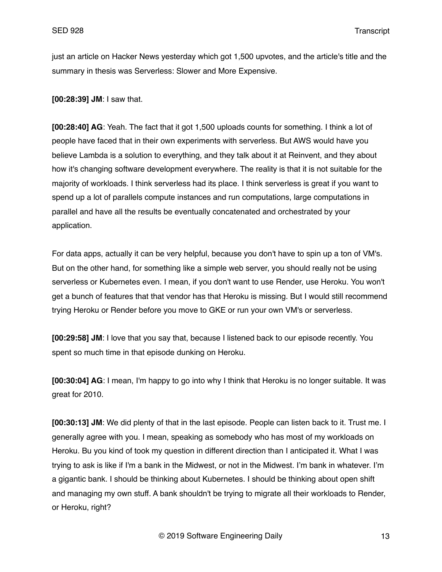just an article on Hacker News yesterday which got 1,500 upvotes, and the article's title and the summary in thesis was Serverless: Slower and More Expensive.

**[00:28:39] JM**: I saw that.

**[00:28:40] AG**: Yeah. The fact that it got 1,500 uploads counts for something. I think a lot of people have faced that in their own experiments with serverless. But AWS would have you believe Lambda is a solution to everything, and they talk about it at Reinvent, and they about how it's changing software development everywhere. The reality is that it is not suitable for the majority of workloads. I think serverless had its place. I think serverless is great if you want to spend up a lot of parallels compute instances and run computations, large computations in parallel and have all the results be eventually concatenated and orchestrated by your application.

For data apps, actually it can be very helpful, because you don't have to spin up a ton of VM's. But on the other hand, for something like a simple web server, you should really not be using serverless or Kubernetes even. I mean, if you don't want to use Render, use Heroku. You won't get a bunch of features that that vendor has that Heroku is missing. But I would still recommend trying Heroku or Render before you move to GKE or run your own VM's or serverless.

**[00:29:58] JM**: I love that you say that, because I listened back to our episode recently. You spent so much time in that episode dunking on Heroku.

**[00:30:04] AG**: I mean, I'm happy to go into why I think that Heroku is no longer suitable. It was great for 2010.

**[00:30:13] JM**: We did plenty of that in the last episode. People can listen back to it. Trust me. I generally agree with you. I mean, speaking as somebody who has most of my workloads on Heroku. Bu you kind of took my question in different direction than I anticipated it. What I was trying to ask is like if I'm a bank in the Midwest, or not in the Midwest. I'm bank in whatever. I'm a gigantic bank. I should be thinking about Kubernetes. I should be thinking about open shift and managing my own stuff. A bank shouldn't be trying to migrate all their workloads to Render, or Heroku, right?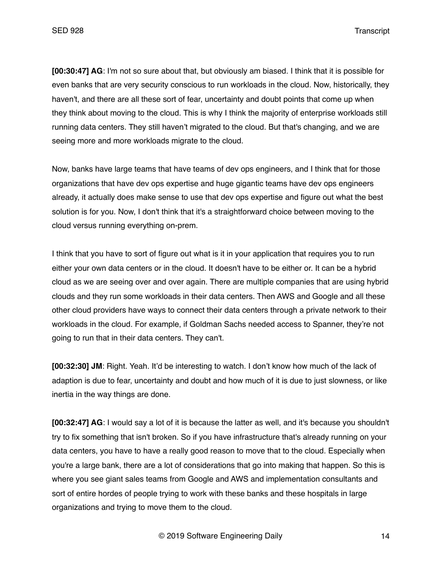**[00:30:47] AG**: I'm not so sure about that, but obviously am biased. I think that it is possible for even banks that are very security conscious to run workloads in the cloud. Now, historically, they haven't, and there are all these sort of fear, uncertainty and doubt points that come up when they think about moving to the cloud. This is why I think the majority of enterprise workloads still running data centers. They still haven't migrated to the cloud. But that's changing, and we are seeing more and more workloads migrate to the cloud.

Now, banks have large teams that have teams of dev ops engineers, and I think that for those organizations that have dev ops expertise and huge gigantic teams have dev ops engineers already, it actually does make sense to use that dev ops expertise and figure out what the best solution is for you. Now, I don't think that it's a straightforward choice between moving to the cloud versus running everything on-prem.

I think that you have to sort of figure out what is it in your application that requires you to run either your own data centers or in the cloud. It doesn't have to be either or. It can be a hybrid cloud as we are seeing over and over again. There are multiple companies that are using hybrid clouds and they run some workloads in their data centers. Then AWS and Google and all these other cloud providers have ways to connect their data centers through a private network to their workloads in the cloud. For example, if Goldman Sachs needed access to Spanner, they're not going to run that in their data centers. They can't.

**[00:32:30] JM**: Right. Yeah. It'd be interesting to watch. I don't know how much of the lack of adaption is due to fear, uncertainty and doubt and how much of it is due to just slowness, or like inertia in the way things are done.

**[00:32:47] AG**: I would say a lot of it is because the latter as well, and it's because you shouldn't try to fix something that isn't broken. So if you have infrastructure that's already running on your data centers, you have to have a really good reason to move that to the cloud. Especially when you're a large bank, there are a lot of considerations that go into making that happen. So this is where you see giant sales teams from Google and AWS and implementation consultants and sort of entire hordes of people trying to work with these banks and these hospitals in large organizations and trying to move them to the cloud.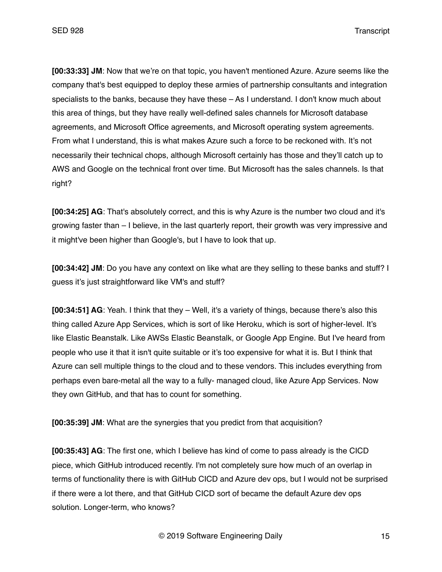**[00:33:33] JM**: Now that we're on that topic, you haven't mentioned Azure. Azure seems like the company that's best equipped to deploy these armies of partnership consultants and integration specialists to the banks, because they have these – As I understand. I don't know much about this area of things, but they have really well-defined sales channels for Microsoft database agreements, and Microsoft Office agreements, and Microsoft operating system agreements. From what I understand, this is what makes Azure such a force to be reckoned with. It's not necessarily their technical chops, although Microsoft certainly has those and they'll catch up to AWS and Google on the technical front over time. But Microsoft has the sales channels. Is that right?

**[00:34:25] AG**: That's absolutely correct, and this is why Azure is the number two cloud and it's growing faster than – I believe, in the last quarterly report, their growth was very impressive and it might've been higher than Google's, but I have to look that up.

**[00:34:42] JM**: Do you have any context on like what are they selling to these banks and stuff? I guess it's just straightforward like VM's and stuff?

**[00:34:51] AG**: Yeah. I think that they – Well, it's a variety of things, because there's also this thing called Azure App Services, which is sort of like Heroku, which is sort of higher-level. It's like Elastic Beanstalk. Like AWSs Elastic Beanstalk, or Google App Engine. But I've heard from people who use it that it isn't quite suitable or it's too expensive for what it is. But I think that Azure can sell multiple things to the cloud and to these vendors. This includes everything from perhaps even bare-metal all the way to a fully- managed cloud, like Azure App Services. Now they own GitHub, and that has to count for something.

**[00:35:39] JM**: What are the synergies that you predict from that acquisition?

**[00:35:43] AG**: The first one, which I believe has kind of come to pass already is the CICD piece, which GitHub introduced recently. I'm not completely sure how much of an overlap in terms of functionality there is with GitHub CICD and Azure dev ops, but I would not be surprised if there were a lot there, and that GitHub CICD sort of became the default Azure dev ops solution. Longer-term, who knows?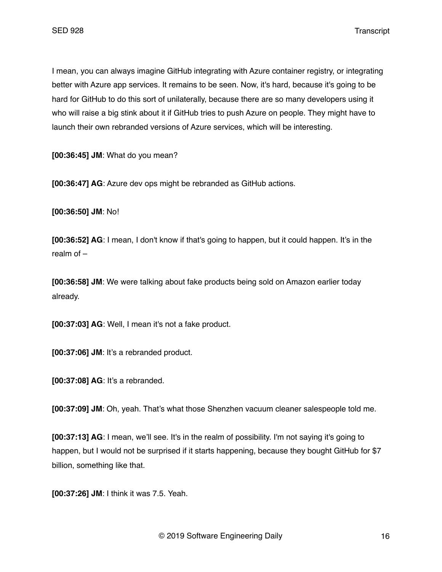I mean, you can always imagine GitHub integrating with Azure container registry, or integrating better with Azure app services. It remains to be seen. Now, it's hard, because it's going to be hard for GitHub to do this sort of unilaterally, because there are so many developers using it who will raise a big stink about it if GitHub tries to push Azure on people. They might have to launch their own rebranded versions of Azure services, which will be interesting.

**[00:36:45] JM**: What do you mean?

**[00:36:47] AG**: Azure dev ops might be rebranded as GitHub actions.

**[00:36:50] JM**: No!

**[00:36:52] AG**: I mean, I don't know if that's going to happen, but it could happen. It's in the realm of –

**[00:36:58] JM**: We were talking about fake products being sold on Amazon earlier today already.

**[00:37:03] AG**: Well, I mean it's not a fake product.

**[00:37:06] JM**: It's a rebranded product.

**[00:37:08] AG**: It's a rebranded.

**[00:37:09] JM**: Oh, yeah. That's what those Shenzhen vacuum cleaner salespeople told me.

**[00:37:13] AG**: I mean, we'll see. It's in the realm of possibility. I'm not saying it's going to happen, but I would not be surprised if it starts happening, because they bought GitHub for \$7 billion, something like that.

**[00:37:26] JM**: I think it was 7.5. Yeah.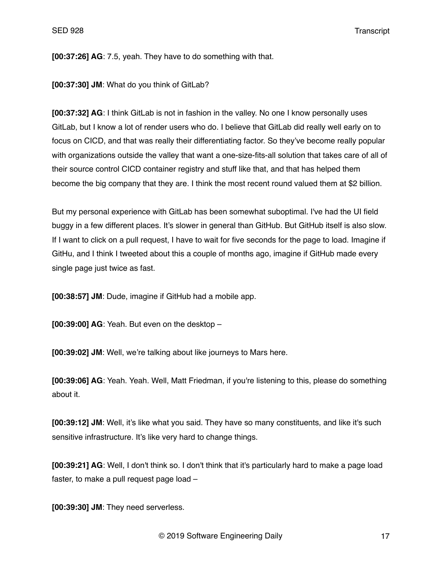**[00:37:26] AG**: 7.5, yeah. They have to do something with that.

**[00:37:30] JM**: What do you think of GitLab?

**[00:37:32] AG**: I think GitLab is not in fashion in the valley. No one I know personally uses GitLab, but I know a lot of render users who do. I believe that GitLab did really well early on to focus on CICD, and that was really their differentiating factor. So they've become really popular with organizations outside the valley that want a one-size-fits-all solution that takes care of all of their source control CICD container registry and stuff like that, and that has helped them become the big company that they are. I think the most recent round valued them at \$2 billion.

But my personal experience with GitLab has been somewhat suboptimal. I've had the UI field buggy in a few different places. It's slower in general than GitHub. But GitHub itself is also slow. If I want to click on a pull request, I have to wait for five seconds for the page to load. Imagine if GitHu, and I think I tweeted about this a couple of months ago, imagine if GitHub made every single page just twice as fast.

**[00:38:57] JM**: Dude, imagine if GitHub had a mobile app.

**[00:39:00] AG**: Yeah. But even on the desktop –

**[00:39:02] JM**: Well, we're talking about like journeys to Mars here.

**[00:39:06] AG**: Yeah. Yeah. Well, Matt Friedman, if you're listening to this, please do something about it.

**[00:39:12] JM**: Well, it's like what you said. They have so many constituents, and like it's such sensitive infrastructure. It's like very hard to change things.

**[00:39:21] AG**: Well, I don't think so. I don't think that it's particularly hard to make a page load faster, to make a pull request page load –

**[00:39:30] JM**: They need serverless.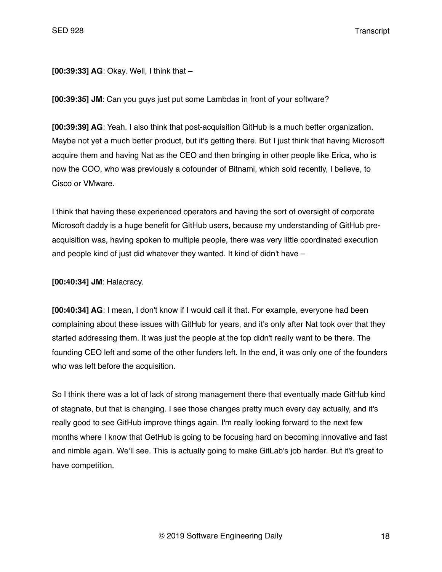**[00:39:33] AG**: Okay. Well, I think that –

**[00:39:35] JM**: Can you guys just put some Lambdas in front of your software?

**[00:39:39] AG**: Yeah. I also think that post-acquisition GitHub is a much better organization. Maybe not yet a much better product, but it's getting there. But I just think that having Microsoft acquire them and having Nat as the CEO and then bringing in other people like Erica, who is now the COO, who was previously a cofounder of Bitnami, which sold recently, I believe, to Cisco or VMware.

I think that having these experienced operators and having the sort of oversight of corporate Microsoft daddy is a huge benefit for GitHub users, because my understanding of GitHub preacquisition was, having spoken to multiple people, there was very little coordinated execution and people kind of just did whatever they wanted. It kind of didn't have –

**[00:40:34] JM**: Halacracy.

**[00:40:34] AG**: I mean, I don't know if I would call it that. For example, everyone had been complaining about these issues with GitHub for years, and it's only after Nat took over that they started addressing them. It was just the people at the top didn't really want to be there. The founding CEO left and some of the other funders left. In the end, it was only one of the founders who was left before the acquisition.

So I think there was a lot of lack of strong management there that eventually made GitHub kind of stagnate, but that is changing. I see those changes pretty much every day actually, and it's really good to see GitHub improve things again. I'm really looking forward to the next few months where I know that GetHub is going to be focusing hard on becoming innovative and fast and nimble again. We'll see. This is actually going to make GitLab's job harder. But it's great to have competition.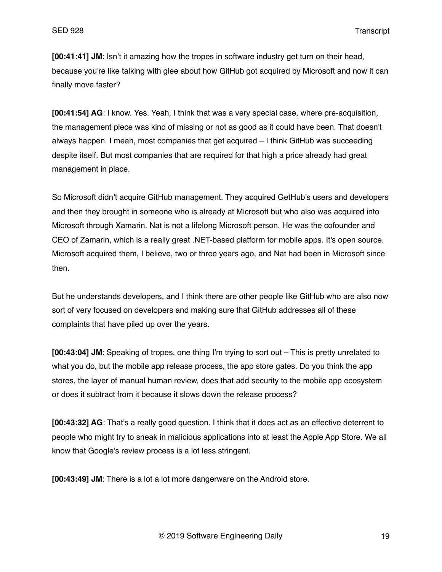**[00:41:41] JM**: Isn't it amazing how the tropes in software industry get turn on their head, because you're like talking with glee about how GitHub got acquired by Microsoft and now it can finally move faster?

**[00:41:54] AG**: I know. Yes. Yeah, I think that was a very special case, where pre-acquisition, the management piece was kind of missing or not as good as it could have been. That doesn't always happen. I mean, most companies that get acquired – I think GitHub was succeeding despite itself. But most companies that are required for that high a price already had great management in place.

So Microsoft didn't acquire GitHub management. They acquired GetHub's users and developers and then they brought in someone who is already at Microsoft but who also was acquired into Microsoft through Xamarin. Nat is not a lifelong Microsoft person. He was the cofounder and CEO of Zamarin, which is a really great .NET-based platform for mobile apps. It's open source. Microsoft acquired them, I believe, two or three years ago, and Nat had been in Microsoft since then.

But he understands developers, and I think there are other people like GitHub who are also now sort of very focused on developers and making sure that GitHub addresses all of these complaints that have piled up over the years.

**[00:43:04] JM**: Speaking of tropes, one thing I'm trying to sort out – This is pretty unrelated to what you do, but the mobile app release process, the app store gates. Do you think the app stores, the layer of manual human review, does that add security to the mobile app ecosystem or does it subtract from it because it slows down the release process?

**[00:43:32] AG**: That's a really good question. I think that it does act as an effective deterrent to people who might try to sneak in malicious applications into at least the Apple App Store. We all know that Google's review process is a lot less stringent.

**[00:43:49] JM**: There is a lot a lot more dangerware on the Android store.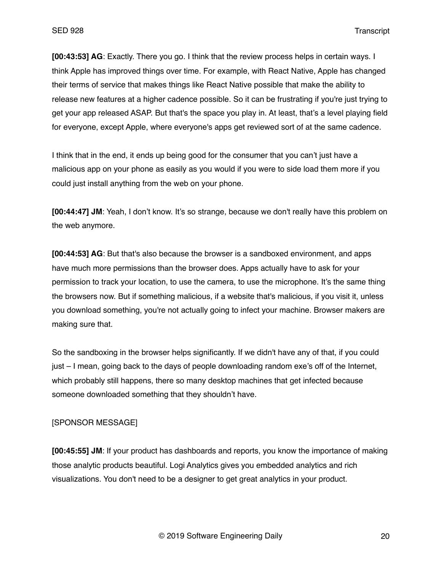**[00:43:53] AG**: Exactly. There you go. I think that the review process helps in certain ways. I think Apple has improved things over time. For example, with React Native, Apple has changed their terms of service that makes things like React Native possible that make the ability to release new features at a higher cadence possible. So it can be frustrating if you're just trying to get your app released ASAP. But that's the space you play in. At least, that's a level playing field for everyone, except Apple, where everyone's apps get reviewed sort of at the same cadence.

I think that in the end, it ends up being good for the consumer that you can't just have a malicious app on your phone as easily as you would if you were to side load them more if you could just install anything from the web on your phone.

**[00:44:47] JM**: Yeah, I don't know. It's so strange, because we don't really have this problem on the web anymore.

**[00:44:53] AG**: But that's also because the browser is a sandboxed environment, and apps have much more permissions than the browser does. Apps actually have to ask for your permission to track your location, to use the camera, to use the microphone. It's the same thing the browsers now. But if something malicious, if a website that's malicious, if you visit it, unless you download something, you're not actually going to infect your machine. Browser makers are making sure that.

So the sandboxing in the browser helps significantly. If we didn't have any of that, if you could just – I mean, going back to the days of people downloading random exe's off of the Internet, which probably still happens, there so many desktop machines that get infected because someone downloaded something that they shouldn't have.

#### [SPONSOR MESSAGE]

**[00:45:55] JM**: If your product has dashboards and reports, you know the importance of making those analytic products beautiful. Logi Analytics gives you embedded analytics and rich visualizations. You don't need to be a designer to get great analytics in your product.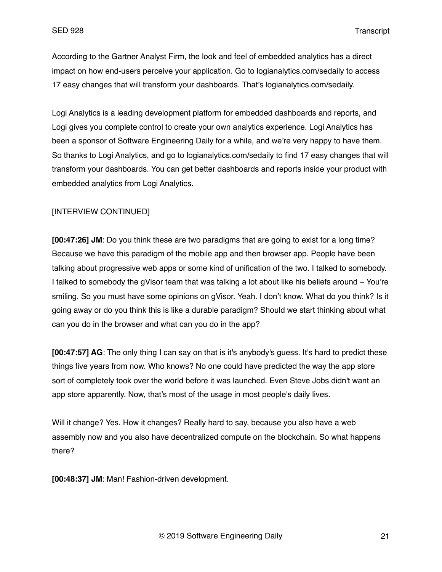According to the Gartner Analyst Firm, the look and feel of embedded analytics has a direct impact on how end-users perceive your application. Go to logianalytics.com/sedaily to access 17 easy changes that will transform your dashboards. That's logianalytics.com/sedaily.

Logi Analytics is a leading development platform for embedded dashboards and reports, and Logi gives you complete control to create your own analytics experience. Logi Analytics has been a sponsor of Software Engineering Daily for a while, and we're very happy to have them. So thanks to Logi Analytics, and go to logianalytics.com/sedaily to find 17 easy changes that will transform your dashboards. You can get better dashboards and reports inside your product with embedded analytics from Logi Analytics.

# [INTERVIEW CONTINUED]

**[00:47:26] JM**: Do you think these are two paradigms that are going to exist for a long time? Because we have this paradigm of the mobile app and then browser app. People have been talking about progressive web apps or some kind of unification of the two. I talked to somebody. I talked to somebody the gVisor team that was talking a lot about like his beliefs around – You're smiling. So you must have some opinions on gVisor. Yeah. I don't know. What do you think? Is it going away or do you think this is like a durable paradigm? Should we start thinking about what can you do in the browser and what can you do in the app?

**[00:47:57] AG**: The only thing I can say on that is it's anybody's guess. It's hard to predict these things five years from now. Who knows? No one could have predicted the way the app store sort of completely took over the world before it was launched. Even Steve Jobs didn't want an app store apparently. Now, that's most of the usage in most people's daily lives.

Will it change? Yes. How it changes? Really hard to say, because you also have a web assembly now and you also have decentralized compute on the blockchain. So what happens there?

**[00:48:37] JM**: Man! Fashion-driven development.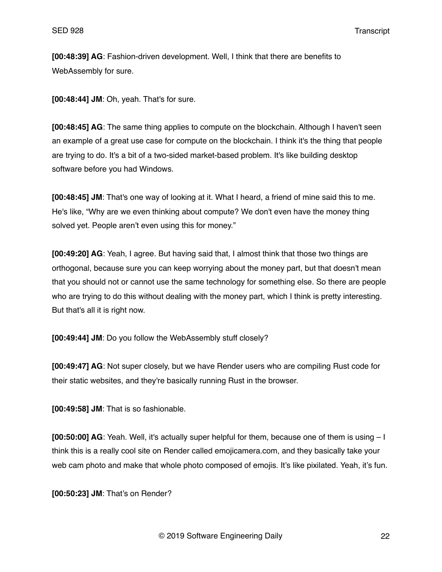**[00:48:39] AG**: Fashion-driven development. Well, I think that there are benefits to WebAssembly for sure.

**[00:48:44] JM**: Oh, yeah. That's for sure.

**[00:48:45] AG**: The same thing applies to compute on the blockchain. Although I haven't seen an example of a great use case for compute on the blockchain. I think it's the thing that people are trying to do. It's a bit of a two-sided market-based problem. It's like building desktop software before you had Windows.

**[00:48:45] JM**: That's one way of looking at it. What I heard, a friend of mine said this to me. He's like, "Why are we even thinking about compute? We don't even have the money thing solved yet. People aren't even using this for money."

**[00:49:20] AG**: Yeah, I agree. But having said that, I almost think that those two things are orthogonal, because sure you can keep worrying about the money part, but that doesn't mean that you should not or cannot use the same technology for something else. So there are people who are trying to do this without dealing with the money part, which I think is pretty interesting. But that's all it is right now.

**[00:49:44] JM**: Do you follow the WebAssembly stuff closely?

**[00:49:47] AG**: Not super closely, but we have Render users who are compiling Rust code for their static websites, and they're basically running Rust in the browser.

**[00:49:58] JM**: That is so fashionable.

**[00:50:00] AG**: Yeah. Well, it's actually super helpful for them, because one of them is using – I think this is a really cool site on Render called emojicamera.com, and they basically take your web cam photo and make that whole photo composed of emojis. It's like pixilated. Yeah, it's fun.

**[00:50:23] JM**: That's on Render?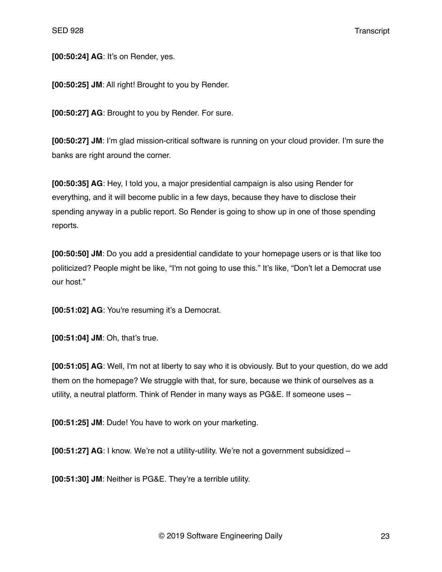**[00:50:24] AG**: It's on Render, yes.

**[00:50:25] JM**: All right! Brought to you by Render.

**[00:50:27] AG**: Brought to you by Render. For sure.

**[00:50:27] JM**: I'm glad mission-critical software is running on your cloud provider. I'm sure the banks are right around the corner.

**[00:50:35] AG**: Hey, I told you, a major presidential campaign is also using Render for everything, and it will become public in a few days, because they have to disclose their spending anyway in a public report. So Render is going to show up in one of those spending reports.

**[00:50:50] JM**: Do you add a presidential candidate to your homepage users or is that like too politicized? People might be like, "I'm not going to use this." It's like, "Don't let a Democrat use our host."

**[00:51:02] AG**: You're resuming it's a Democrat.

**[00:51:04] JM**: Oh, that's true.

**[00:51:05] AG**: Well, I'm not at liberty to say who it is obviously. But to your question, do we add them on the homepage? We struggle with that, for sure, because we think of ourselves as a utility, a neutral platform. Think of Render in many ways as PG&E. If someone uses –

**[00:51:25] JM**: Dude! You have to work on your marketing.

**[00:51:27] AG**: I know. We're not a utility-utility. We're not a government subsidized –

**[00:51:30] JM**: Neither is PG&E. They're a terrible utility.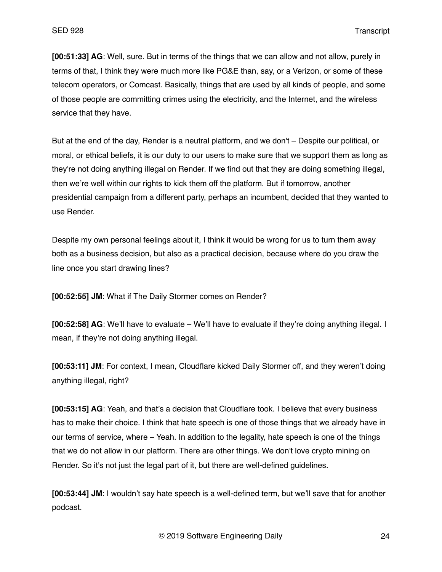**[00:51:33] AG**: Well, sure. But in terms of the things that we can allow and not allow, purely in terms of that, I think they were much more like PG&E than, say, or a Verizon, or some of these telecom operators, or Comcast. Basically, things that are used by all kinds of people, and some of those people are committing crimes using the electricity, and the Internet, and the wireless service that they have.

But at the end of the day, Render is a neutral platform, and we don't – Despite our political, or moral, or ethical beliefs, it is our duty to our users to make sure that we support them as long as they're not doing anything illegal on Render. If we find out that they are doing something illegal, then we're well within our rights to kick them off the platform. But if tomorrow, another presidential campaign from a different party, perhaps an incumbent, decided that they wanted to use Render.

Despite my own personal feelings about it, I think it would be wrong for us to turn them away both as a business decision, but also as a practical decision, because where do you draw the line once you start drawing lines?

**[00:52:55] JM**: What if The Daily Stormer comes on Render?

**[00:52:58] AG**: We'll have to evaluate – We'll have to evaluate if they're doing anything illegal. I mean, if they're not doing anything illegal.

**[00:53:11] JM**: For context, I mean, Cloudflare kicked Daily Stormer off, and they weren't doing anything illegal, right?

**[00:53:15] AG**: Yeah, and that's a decision that Cloudflare took. I believe that every business has to make their choice. I think that hate speech is one of those things that we already have in our terms of service, where – Yeah. In addition to the legality, hate speech is one of the things that we do not allow in our platform. There are other things. We don't love crypto mining on Render. So it's not just the legal part of it, but there are well-defined guidelines.

**[00:53:44] JM**: I wouldn't say hate speech is a well-defined term, but we'll save that for another podcast.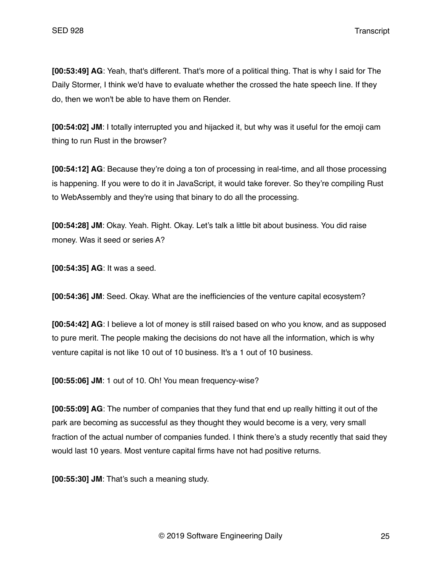**[00:53:49] AG**: Yeah, that's different. That's more of a political thing. That is why I said for The Daily Stormer, I think we'd have to evaluate whether the crossed the hate speech line. If they do, then we won't be able to have them on Render.

**[00:54:02] JM**: I totally interrupted you and hijacked it, but why was it useful for the emoji cam thing to run Rust in the browser?

**[00:54:12] AG**: Because they're doing a ton of processing in real-time, and all those processing is happening. If you were to do it in JavaScript, it would take forever. So they're compiling Rust to WebAssembly and they're using that binary to do all the processing.

**[00:54:28] JM**: Okay. Yeah. Right. Okay. Let's talk a little bit about business. You did raise money. Was it seed or series A?

**[00:54:35] AG**: It was a seed.

**[00:54:36] JM**: Seed. Okay. What are the inefficiencies of the venture capital ecosystem?

**[00:54:42] AG**: I believe a lot of money is still raised based on who you know, and as supposed to pure merit. The people making the decisions do not have all the information, which is why venture capital is not like 10 out of 10 business. It's a 1 out of 10 business.

**[00:55:06] JM**: 1 out of 10. Oh! You mean frequency-wise?

**[00:55:09] AG**: The number of companies that they fund that end up really hitting it out of the park are becoming as successful as they thought they would become is a very, very small fraction of the actual number of companies funded. I think there's a study recently that said they would last 10 years. Most venture capital firms have not had positive returns.

**[00:55:30] JM**: That's such a meaning study.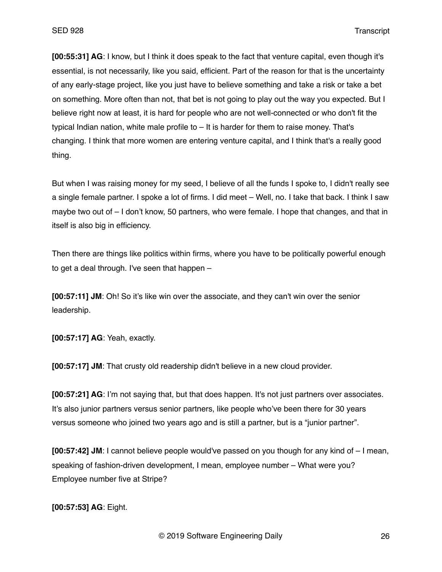**[00:55:31] AG**: I know, but I think it does speak to the fact that venture capital, even though it's essential, is not necessarily, like you said, efficient. Part of the reason for that is the uncertainty of any early-stage project, like you just have to believe something and take a risk or take a bet on something. More often than not, that bet is not going to play out the way you expected. But I believe right now at least, it is hard for people who are not well-connected or who don't fit the typical Indian nation, white male profile to – It is harder for them to raise money. That's changing. I think that more women are entering venture capital, and I think that's a really good thing.

But when I was raising money for my seed, I believe of all the funds I spoke to, I didn't really see a single female partner. I spoke a lot of firms. I did meet – Well, no. I take that back. I think I saw maybe two out of – I don't know, 50 partners, who were female. I hope that changes, and that in itself is also big in efficiency.

Then there are things like politics within firms, where you have to be politically powerful enough to get a deal through. I've seen that happen –

**[00:57:11] JM**: Oh! So it's like win over the associate, and they can't win over the senior leadership.

**[00:57:17] AG**: Yeah, exactly.

**[00:57:17] JM**: That crusty old readership didn't believe in a new cloud provider.

**[00:57:21] AG**: I'm not saying that, but that does happen. It's not just partners over associates. It's also junior partners versus senior partners, like people who've been there for 30 years versus someone who joined two years ago and is still a partner, but is a "junior partner".

**[00:57:42] JM**: I cannot believe people would've passed on you though for any kind of – I mean, speaking of fashion-driven development, I mean, employee number – What were you? Employee number five at Stripe?

**[00:57:53] AG**: Eight.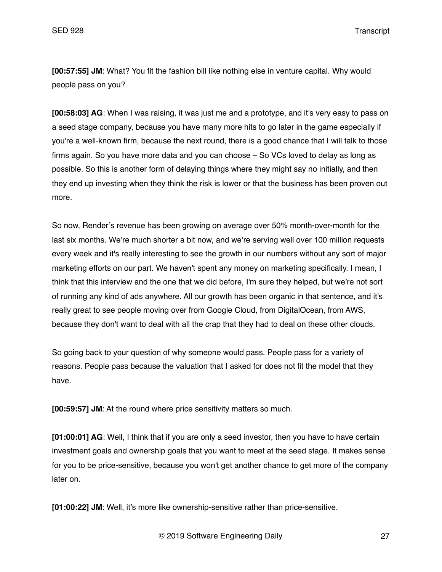**[00:57:55] JM**: What? You fit the fashion bill like nothing else in venture capital. Why would people pass on you?

**[00:58:03] AG**: When I was raising, it was just me and a prototype, and it's very easy to pass on a seed stage company, because you have many more hits to go later in the game especially if you're a well-known firm, because the next round, there is a good chance that I will talk to those firms again. So you have more data and you can choose – So VCs loved to delay as long as possible. So this is another form of delaying things where they might say no initially, and then they end up investing when they think the risk is lower or that the business has been proven out more.

So now, Render's revenue has been growing on average over 50% month-over-month for the last six months. We're much shorter a bit now, and we're serving well over 100 million requests every week and it's really interesting to see the growth in our numbers without any sort of major marketing efforts on our part. We haven't spent any money on marketing specifically. I mean, I think that this interview and the one that we did before, I'm sure they helped, but we're not sort of running any kind of ads anywhere. All our growth has been organic in that sentence, and it's really great to see people moving over from Google Cloud, from DigitalOcean, from AWS, because they don't want to deal with all the crap that they had to deal on these other clouds.

So going back to your question of why someone would pass. People pass for a variety of reasons. People pass because the valuation that I asked for does not fit the model that they have.

**[00:59:57] JM**: At the round where price sensitivity matters so much.

**[01:00:01] AG**: Well, I think that if you are only a seed investor, then you have to have certain investment goals and ownership goals that you want to meet at the seed stage. It makes sense for you to be price-sensitive, because you won't get another chance to get more of the company later on.

**[01:00:22] JM**: Well, it's more like ownership-sensitive rather than price-sensitive.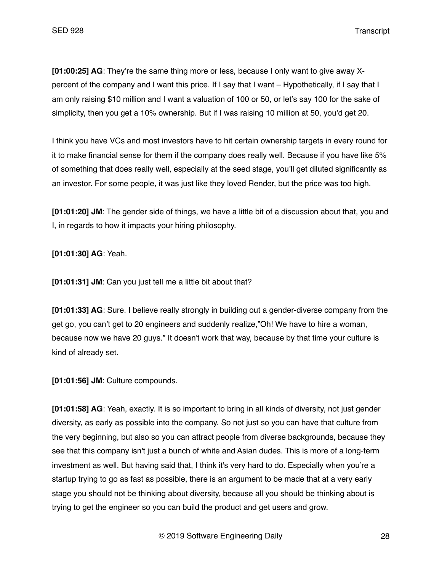**[01:00:25] AG**: They're the same thing more or less, because I only want to give away Xpercent of the company and I want this price. If I say that I want – Hypothetically, if I say that I am only raising \$10 million and I want a valuation of 100 or 50, or let's say 100 for the sake of simplicity, then you get a 10% ownership. But if I was raising 10 million at 50, you'd get 20.

I think you have VCs and most investors have to hit certain ownership targets in every round for it to make financial sense for them if the company does really well. Because if you have like 5% of something that does really well, especially at the seed stage, you'll get diluted significantly as an investor. For some people, it was just like they loved Render, but the price was too high.

**[01:01:20] JM**: The gender side of things, we have a little bit of a discussion about that, you and I, in regards to how it impacts your hiring philosophy.

**[01:01:30] AG**: Yeah.

**[01:01:31] JM**: Can you just tell me a little bit about that?

**[01:01:33] AG**: Sure. I believe really strongly in building out a gender-diverse company from the get go, you can't get to 20 engineers and suddenly realize,"Oh! We have to hire a woman, because now we have 20 guys." It doesn't work that way, because by that time your culture is kind of already set.

**[01:01:56] JM**: Culture compounds.

**[01:01:58] AG**: Yeah, exactly. It is so important to bring in all kinds of diversity, not just gender diversity, as early as possible into the company. So not just so you can have that culture from the very beginning, but also so you can attract people from diverse backgrounds, because they see that this company isn't just a bunch of white and Asian dudes. This is more of a long-term investment as well. But having said that, I think it's very hard to do. Especially when you're a startup trying to go as fast as possible, there is an argument to be made that at a very early stage you should not be thinking about diversity, because all you should be thinking about is trying to get the engineer so you can build the product and get users and grow.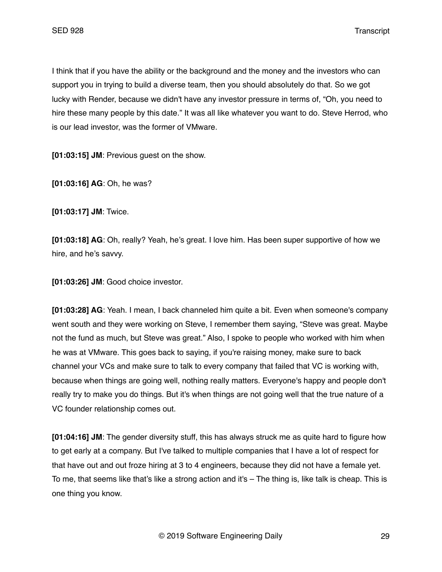I think that if you have the ability or the background and the money and the investors who can support you in trying to build a diverse team, then you should absolutely do that. So we got lucky with Render, because we didn't have any investor pressure in terms of, "Oh, you need to hire these many people by this date." It was all like whatever you want to do. Steve Herrod, who is our lead investor, was the former of VMware.

**[01:03:15] JM**: Previous guest on the show.

**[01:03:16] AG**: Oh, he was?

**[01:03:17] JM**: Twice.

**[01:03:18] AG**: Oh, really? Yeah, he's great. I love him. Has been super supportive of how we hire, and he's savvy.

**[01:03:26] JM**: Good choice investor.

**[01:03:28] AG**: Yeah. I mean, I back channeled him quite a bit. Even when someone's company went south and they were working on Steve, I remember them saying, "Steve was great. Maybe not the fund as much, but Steve was great." Also, I spoke to people who worked with him when he was at VMware. This goes back to saying, if you're raising money, make sure to back channel your VCs and make sure to talk to every company that failed that VC is working with, because when things are going well, nothing really matters. Everyone's happy and people don't really try to make you do things. But it's when things are not going well that the true nature of a VC founder relationship comes out.

**[01:04:16] JM**: The gender diversity stuff, this has always struck me as quite hard to figure how to get early at a company. But I've talked to multiple companies that I have a lot of respect for that have out and out froze hiring at 3 to 4 engineers, because they did not have a female yet. To me, that seems like that's like a strong action and it's – The thing is, like talk is cheap. This is one thing you know.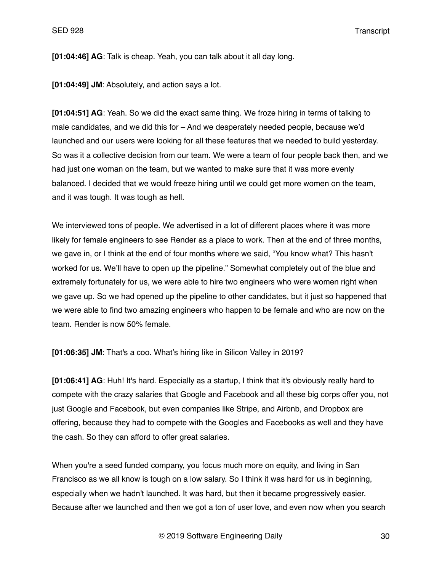**[01:04:46] AG**: Talk is cheap. Yeah, you can talk about it all day long.

**[01:04:49] JM**: Absolutely, and action says a lot.

**[01:04:51] AG**: Yeah. So we did the exact same thing. We froze hiring in terms of talking to male candidates, and we did this for – And we desperately needed people, because we'd launched and our users were looking for all these features that we needed to build yesterday. So was it a collective decision from our team. We were a team of four people back then, and we had just one woman on the team, but we wanted to make sure that it was more evenly balanced. I decided that we would freeze hiring until we could get more women on the team, and it was tough. It was tough as hell.

We interviewed tons of people. We advertised in a lot of different places where it was more likely for female engineers to see Render as a place to work. Then at the end of three months, we gave in, or I think at the end of four months where we said, "You know what? This hasn't worked for us. We'll have to open up the pipeline." Somewhat completely out of the blue and extremely fortunately for us, we were able to hire two engineers who were women right when we gave up. So we had opened up the pipeline to other candidates, but it just so happened that we were able to find two amazing engineers who happen to be female and who are now on the team. Render is now 50% female.

**[01:06:35] JM**: That's a coo. What's hiring like in Silicon Valley in 2019?

**[01:06:41] AG**: Huh! It's hard. Especially as a startup, I think that it's obviously really hard to compete with the crazy salaries that Google and Facebook and all these big corps offer you, not just Google and Facebook, but even companies like Stripe, and Airbnb, and Dropbox are offering, because they had to compete with the Googles and Facebooks as well and they have the cash. So they can afford to offer great salaries.

When you're a seed funded company, you focus much more on equity, and living in San Francisco as we all know is tough on a low salary. So I think it was hard for us in beginning, especially when we hadn't launched. It was hard, but then it became progressively easier. Because after we launched and then we got a ton of user love, and even now when you search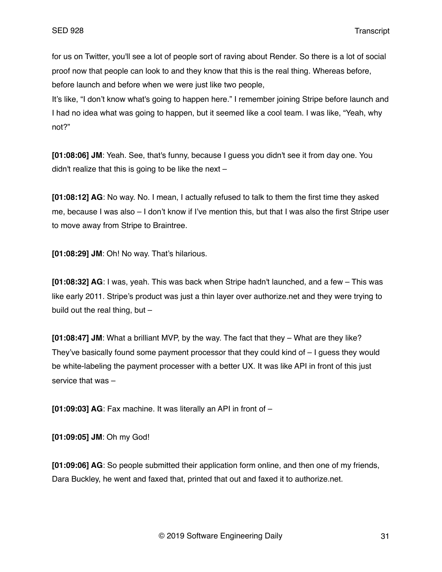for us on Twitter, you'll see a lot of people sort of raving about Render. So there is a lot of social proof now that people can look to and they know that this is the real thing. Whereas before, before launch and before when we were just like two people,

It's like, "I don't know what's going to happen here." I remember joining Stripe before launch and I had no idea what was going to happen, but it seemed like a cool team. I was like, "Yeah, why not?"

**[01:08:06] JM**: Yeah. See, that's funny, because I guess you didn't see it from day one. You didn't realize that this is going to be like the next  $-$ 

**[01:08:12] AG**: No way. No. I mean, I actually refused to talk to them the first time they asked me, because I was also – I don't know if I've mention this, but that I was also the first Stripe user to move away from Stripe to Braintree.

**[01:08:29] JM**: Oh! No way. That's hilarious.

**[01:08:32] AG**: I was, yeah. This was back when Stripe hadn't launched, and a few – This was like early 2011. Stripe's product was just a thin layer over authorize.net and they were trying to build out the real thing, but –

**[01:08:47] JM**: What a brilliant MVP, by the way. The fact that they – What are they like? They've basically found some payment processor that they could kind of  $-1$  quess they would be white-labeling the payment processer with a better UX. It was like API in front of this just service that was –

**[01:09:03] AG**: Fax machine. It was literally an API in front of –

**[01:09:05] JM**: Oh my God!

**[01:09:06] AG**: So people submitted their application form online, and then one of my friends, Dara Buckley, he went and faxed that, printed that out and faxed it to authorize.net.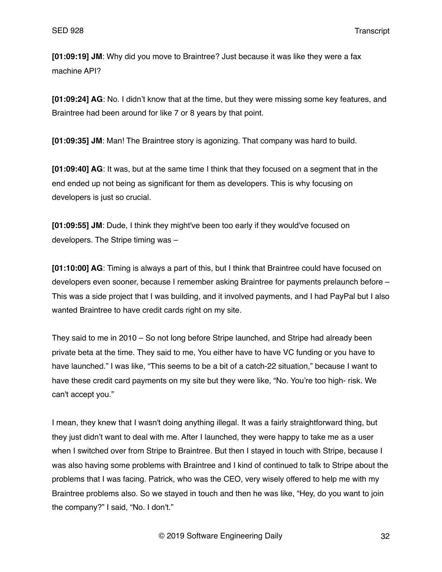**[01:09:19] JM**: Why did you move to Braintree? Just because it was like they were a fax machine API?

**[01:09:24] AG**: No. I didn't know that at the time, but they were missing some key features, and Braintree had been around for like 7 or 8 years by that point.

**[01:09:35] JM**: Man! The Braintree story is agonizing. That company was hard to build.

**[01:09:40] AG**: It was, but at the same time I think that they focused on a segment that in the end ended up not being as significant for them as developers. This is why focusing on developers is just so crucial.

**[01:09:55] JM**: Dude, I think they might've been too early if they would've focused on developers. The Stripe timing was –

**[01:10:00] AG**: Timing is always a part of this, but I think that Braintree could have focused on developers even sooner, because I remember asking Braintree for payments prelaunch before – This was a side project that I was building, and it involved payments, and I had PayPal but I also wanted Braintree to have credit cards right on my site.

They said to me in 2010 – So not long before Stripe launched, and Stripe had already been private beta at the time. They said to me, You either have to have VC funding or you have to have launched." I was like, "This seems to be a bit of a catch-22 situation," because I want to have these credit card payments on my site but they were like, "No. You're too high- risk. We can't accept you."

I mean, they knew that I wasn't doing anything illegal. It was a fairly straightforward thing, but they just didn't want to deal with me. After I launched, they were happy to take me as a user when I switched over from Stripe to Braintree. But then I stayed in touch with Stripe, because I was also having some problems with Braintree and I kind of continued to talk to Stripe about the problems that I was facing. Patrick, who was the CEO, very wisely offered to help me with my Braintree problems also. So we stayed in touch and then he was like, "Hey, do you want to join the company?" I said, "No. I don't."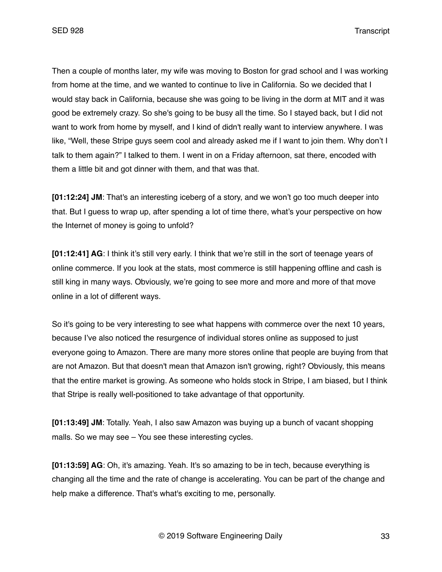Then a couple of months later, my wife was moving to Boston for grad school and I was working from home at the time, and we wanted to continue to live in California. So we decided that I would stay back in California, because she was going to be living in the dorm at MIT and it was good be extremely crazy. So she's going to be busy all the time. So I stayed back, but I did not want to work from home by myself, and I kind of didn't really want to interview anywhere. I was like, "Well, these Stripe guys seem cool and already asked me if I want to join them. Why don't I talk to them again?" I talked to them. I went in on a Friday afternoon, sat there, encoded with them a little bit and got dinner with them, and that was that.

**[01:12:24] JM**: That's an interesting iceberg of a story, and we won't go too much deeper into that. But I guess to wrap up, after spending a lot of time there, what's your perspective on how the Internet of money is going to unfold?

**[01:12:41] AG**: I think it's still very early. I think that we're still in the sort of teenage years of online commerce. If you look at the stats, most commerce is still happening offline and cash is still king in many ways. Obviously, we're going to see more and more and more of that move online in a lot of different ways.

So it's going to be very interesting to see what happens with commerce over the next 10 years, because I've also noticed the resurgence of individual stores online as supposed to just everyone going to Amazon. There are many more stores online that people are buying from that are not Amazon. But that doesn't mean that Amazon isn't growing, right? Obviously, this means that the entire market is growing. As someone who holds stock in Stripe, I am biased, but I think that Stripe is really well-positioned to take advantage of that opportunity.

**[01:13:49] JM**: Totally. Yeah, I also saw Amazon was buying up a bunch of vacant shopping malls. So we may see – You see these interesting cycles.

**[01:13:59] AG**: Oh, it's amazing. Yeah. It's so amazing to be in tech, because everything is changing all the time and the rate of change is accelerating. You can be part of the change and help make a difference. That's what's exciting to me, personally.